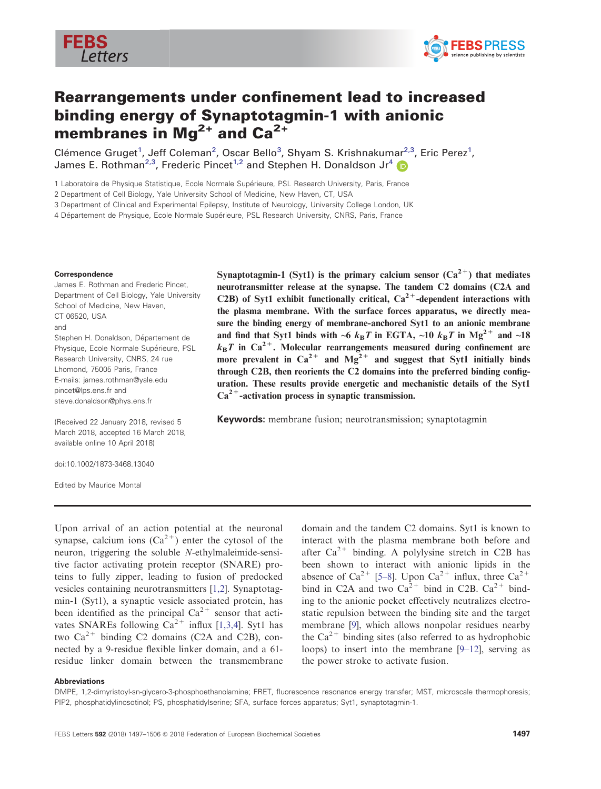



# Rearrangements under confinement lead to increased binding energy of Synaptotagmin-1 with anionic membranes in  $Ma^{2+}$  and  $Ca^{2+}$

Clémence Gruget<sup>1</sup>, Jeff Coleman<sup>2</sup>, Oscar Bello<sup>3</sup>, Shyam S. Krishnakumar<sup>2,3</sup>, Eric Perez<sup>1</sup>, James E. Rothman<sup>2,3</sup>, Frederic Pincet<sup>1,2</sup> and Stephen H. Donaldson Jr<sup>[4](http://orcid.org/0000-0001-7091-0075)</sup>

1 Laboratoire de Physique Statistique, Ecole Normale Superieure, PSL Research University, Paris, France

2 Department of Cell Biology, Yale University School of Medicine, New Haven, CT, USA

3 Department of Clinical and Experimental Epilepsy, Institute of Neurology, University College London, UK

4 Département de Physique, Ecole Normale Supérieure, PSL Research University, CNRS, Paris, France

#### Correspondence

James E. Rothman and Frederic Pincet, Department of Cell Biology, Yale University School of Medicine, New Haven, CT 06520, USA and Stephen H. Donaldson, Département de Physique, Ecole Normale Supérieure, PSL Research University, CNRS, 24 rue Lhomond, 75005 Paris, France E-mails: james.rothman@yale.edu pincet@lps.ens.fr and steve.donaldson@phys.ens.fr

(Received 22 January 2018, revised 5 March 2018, accepted 16 March 2018,

available online 10 April 2018) doi:10.1002/1873-3468.13040

Edited by Maurice Montal

Synaptotagmin-1 (Syt1) is the primary calcium sensor  $(Ca^{2+})$  that mediates neurotransmitter release at the synapse. The tandem C2 domains (C2A and C2B) of Syt1 exhibit functionally critical,  $Ca^{2+}$ -dependent interactions with the plasma membrane. With the surface forces apparatus, we directly measure the binding energy of membrane-anchored Syt1 to an anionic membrane and find that Syt1 binds with ~6  $k_BT$  in EGTA, ~10  $k_BT$  in Mg<sup>2+</sup> and ~18  $k_{\rm B}T$  in Ca<sup>2+</sup>. Molecular rearrangements measured during confinement are more prevalent in  $Ca^{2+}$  and  $Mg^{2+}$  and suggest that Syt1 initially binds through C2B, then reorients the C2 domains into the preferred binding configuration. These results provide energetic and mechanistic details of the Syt1  $Ca<sup>2+</sup>$ -activation process in synaptic transmission.

Keywords: membrane fusion; neurotransmission; synaptotagmin

Upon arrival of an action potential at the neuronal synapse, calcium ions  $(Ca^{2+})$  enter the cytosol of the neuron, triggering the soluble N-ethylmaleimide-sensitive factor activating protein receptor (SNARE) proteins to fully zipper, leading to fusion of predocked vesicles containing neurotransmitters [[1,2\]](#page-8-0). Synaptotagmin-1 (Syt1), a synaptic vesicle associated protein, has been identified as the principal  $Ca^{2+}$  sensor that activates SNAREs following  $Ca^{2+}$  influx [[1,3,4](#page-8-0)]. Syt1 has two  $Ca^{2+}$  binding C2 domains (C2A and C2B), connected by a 9-residue flexible linker domain, and a 61 residue linker domain between the transmembrane domain and the tandem C2 domains. Syt1 is known to interact with the plasma membrane both before and after  $Ca^{2+}$  binding. A polylysine stretch in C2B has been shown to interact with anionic lipids in the absence of  $Ca^{2+}$  [\[5](#page-8-0)–[8\]](#page-8-0). Upon  $Ca^{2+}$  influx, three  $Ca^{2+}$ bind in C2A and two  $Ca^{2+}$  bind in C2B.  $Ca^{2+}$  binding to the anionic pocket effectively neutralizes electrostatic repulsion between the binding site and the target membrane [\[9](#page-8-0)], which allows nonpolar residues nearby the  $Ca^{2+}$  binding sites (also referred to as hydrophobic loops) to insert into the membrane [9[–](#page-8-0)[12](#page-8-0)], serving as the power stroke to activate fusion.

#### Abbreviations

DMPE, 1,2-dimyristoyl-sn-glycero-3-phosphoethanolamine; FRET, fluorescence resonance energy transfer; MST, microscale thermophoresis; PIP2, phosphatidylinosotinol; PS, phosphatidylserine; SFA, surface forces apparatus; Syt1, synaptotagmin-1.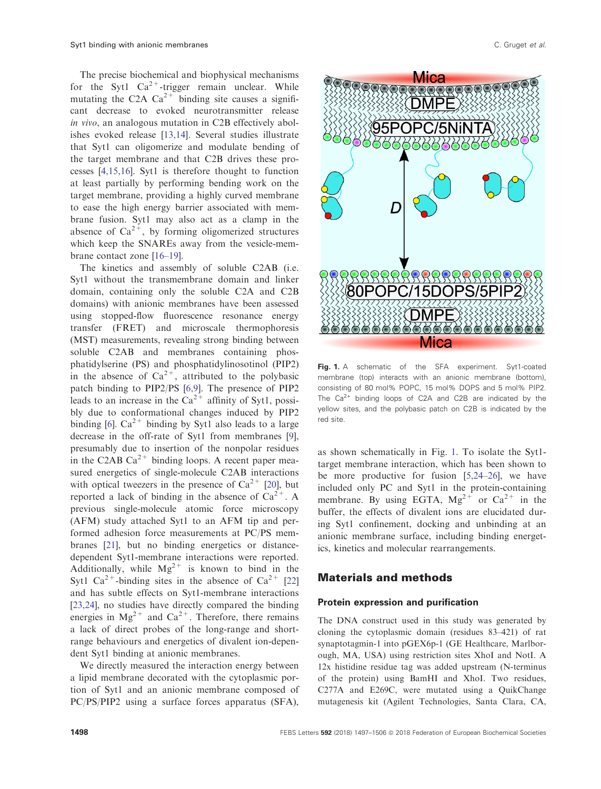<span id="page-1-0"></span>The precise biochemical and biophysical mechanisms for the Syt1  $Ca^{2+}$ -trigger remain unclear. While mutating the C2A  $Ca^{2+}$  binding site causes a significant decrease to evoked neurotransmitter release in vivo, an analogous mutation in C2B effectively abolishes evoked release [\[13,14\]](#page-8-0). Several studies illustrate that Syt1 can oligomerize and modulate bending of the target membrane and that C2B drives these processes [\[4,15,16\]](#page-8-0). Syt1 is therefore thought to function at least partially by performing bending work on the target membrane, providing a highly curved membrane to ease the high energy barrier associated with membrane fusion. Syt1 may also act as a clamp in the absence of  $Ca^{2+}$ , by forming oligomerized structures which keep the SNAREs away from the vesicle-membrane contact zone [\[16](#page-8-0)–19].

The kinetics and assembly of soluble C2AB (i.e. Syt1 without the transmembrane domain and linker domain, containing only the soluble C2A and C2B domains) with anionic membranes have been assessed using stopped-flow fluorescence resonance energy transfer (FRET) and microscale thermophoresis (MST) measurements, revealing strong binding between soluble C2AB and membranes containing phosphatidylserine (PS) and phosphatidylinosotinol (PIP2) in the absence of  $Ca^{2+}$ , attributed to the polybasic patch binding to PIP2/PS [\[6,9](#page-8-0)]. The presence of PIP2 leads to an increase in the  $Ca^{2+}$  affinity of Syt1, possibly due to conformational changes induced by PIP2 binding [\[6](#page-8-0)].  $Ca^{2+}$  binding by Syt1 also leads to a large decrease in the off-rate of Syt1 from membranes [\[9](#page-8-0)], presumably due to insertion of the nonpolar residues in the C2AB  $Ca^{2+}$  binding loops. A recent paper measured energetics of single-molecule C2AB interactions with optical tweezers in the presence of  $Ca^{2+}$  [[20\]](#page-8-0), but reported a lack of binding in the absence of  $Ca^{2+}$ . A previous single-molecule atomic force microscopy (AFM) study attached Syt1 to an AFM tip and performed adhesion force measurements at PC/PS membranes [\[21\]](#page-8-0), but no binding energetics or distancedependent Syt1-membrane interactions were reported. Additionally, while  $Mg^{2+}$  is known to bind in the Syt1  $Ca^{2+}$ -binding sites in the absence of  $Ca^{2+}$  [\[22\]](#page-8-0) and has subtle effects on Syt1-membrane interactions [\[23,24\]](#page-8-0), no studies have directly compared the binding energies in  $Mg^{2+}$  and  $Ca^{2+}$ . Therefore, there remains a lack of direct probes of the long-range and shortrange behaviours and energetics of divalent ion-dependent Syt1 binding at anionic membranes.

We directly measured the interaction energy between a lipid membrane decorated with the cytoplasmic portion of Syt1 and an anionic membrane composed of PC/PS/PIP2 using a surface forces apparatus (SFA),



Fig. 1. A schematic of the SFA experiment. Syt1-coated membrane (top) interacts with an anionic membrane (bottom), consisting of 80 mol% POPC, 15 mol% DOPS and 5 mol% PIP2. The  $Ca^{2+}$  binding loops of C2A and C2B are indicated by the yellow sites, and the polybasic patch on C2B is indicated by the red site.

as shown schematically in Fig. 1. To isolate the Syt1 target membrane interaction, which has been shown to be more productive for fusion [[5,24](#page-8-0)–26], we have included only PC and Syt1 in the protein-containing membrane. By using EGTA,  $Mg^{2+}$  or  $Ca^{2+}$  in the buffer, the effects of divalent ions are elucidated during Syt1 confinement, docking and unbinding at an anionic membrane surface, including binding energetics, kinetics and molecular rearrangements.

#### Materials and methods

#### Protein expression and purification

The DNA construct used in this study was generated by cloning the cytoplasmic domain (residues 83–421) of rat synaptotagmin-1 into pGEX6p-1 (GE Healthcare, Marlborough, MA, USA) using restriction sites XhoI and NotI. A 12x histidine residue tag was added upstream (N-terminus of the protein) using BamHI and XhoI. Two residues, C277A and E269C, were mutated using a QuikChange mutagenesis kit (Agilent Technologies, Santa Clara, CA,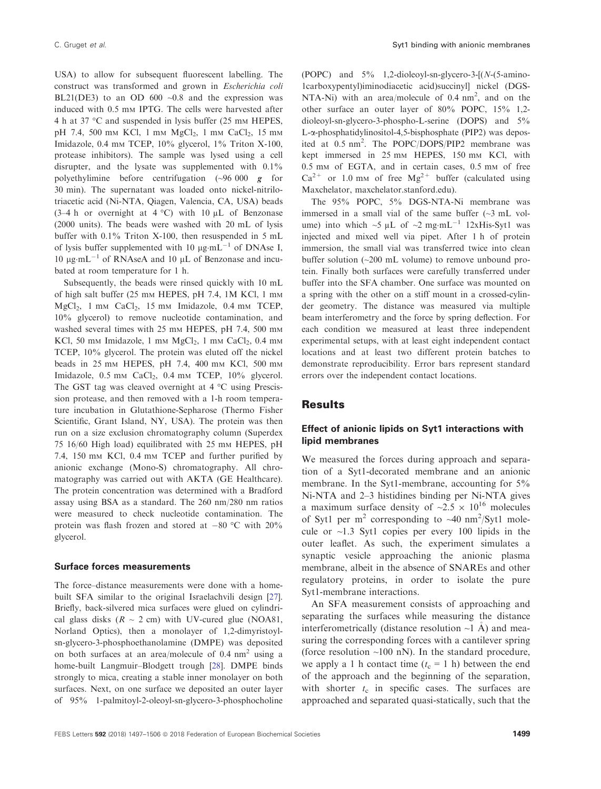USA) to allow for subsequent fluorescent labelling. The construct was transformed and grown in Escherichia coli BL21(DE3) to an OD 600  $\sim$ 0.8 and the expression was induced with 0.5 mm IPTG. The cells were harvested after 4 h at 37 °C and suspended in lysis buffer (25 mm HEPES, pH 7.4, 500 mm KCl, 1 mm MgCl<sub>2</sub>, 1 mm CaCl<sub>2</sub>, 15 mm Imidazole, 0.4 mm TCEP, 10% glycerol, 1% Triton X-100, protease inhibitors). The sample was lysed using a cell disrupter, and the lysate was supplemented with 0.1% polyethylimine before centrifugation (~96 000 g for 30 min). The supernatant was loaded onto nickel-nitrilotriacetic acid (Ni-NTA, Qiagen, Valencia, CA, USA) beads (3–4 h or overnight at  $4^{\circ}$ C) with 10  $\mu$ L of Benzonase (2000 units). The beads were washed with 20 mL of lysis buffer with 0.1% Triton X-100, then resuspended in 5 mL of lysis buffer supplemented with 10  $\mu$ g·mL<sup>-1</sup> of DNAse I, 10  $\mu$ g·mL<sup>-1</sup> of RNAseA and 10  $\mu$ L of Benzonase and incubated at room temperature for 1 h.

Subsequently, the beads were rinsed quickly with 10 mL of high salt buffer (25 mm HEPES, pH 7.4, 1M KCl, 1 mm MgCl<sub>2</sub>, 1 mm CaCl<sub>2</sub>, 15 mm Imidazole, 0.4 mm TCEP, 10% glycerol) to remove nucleotide contamination, and washed several times with 25 mm HEPES, pH 7.4, 500 mm KCl, 50 mm Imidazole, 1 mm  $MgCl<sub>2</sub>$ , 1 mm  $CaCl<sub>2</sub>$ , 0.4 mm TCEP, 10% glycerol. The protein was eluted off the nickel beads in 25 mM HEPES, pH 7.4, 400 mM KCl, 500 mM Imidazole,  $0.5$  mm CaCl<sub>2</sub>,  $0.4$  mm TCEP,  $10\%$  glycerol. The GST tag was cleaved overnight at 4 °C using Prescission protease, and then removed with a 1-h room temperature incubation in Glutathione-Sepharose (Thermo Fisher Scientific, Grant Island, NY, USA). The protein was then run on a size exclusion chromatography column (Superdex 75 16/60 High load) equilibrated with 25 mm HEPES, pH 7.4, 150 mm KCl, 0.4 mm TCEP and further purified by anionic exchange (Mono-S) chromatography. All chromatography was carried out with AKTA (GE Healthcare). The protein concentration was determined with a Bradford assay using BSA as a standard. The 260 nm/280 nm ratios were measured to check nucleotide contamination. The protein was flash frozen and stored at  $-80$  °C with 20% glycerol.

#### Surface forces measurements

The force–distance measurements were done with a homebuilt SFA similar to the original Israelachvili design [[27\]](#page-9-0). Briefly, back-silvered mica surfaces were glued on cylindrical glass disks  $(R \sim 2$  cm) with UV-cured glue (NOA81, Norland Optics), then a monolayer of 1,2-dimyristoylsn-glycero-3-phosphoethanolamine (DMPE) was deposited on both surfaces at an area/molecule of  $0.4 \text{ nm}^2$  using a home-built Langmuir–Blodgett trough [\[28\]](#page-9-0). DMPE binds strongly to mica, creating a stable inner monolayer on both surfaces. Next, on one surface we deposited an outer layer of 95% 1-palmitoyl-2-oleoyl-sn-glycero-3-phosphocholine

(POPC) and 5% 1,2-dioleoyl-sn-glycero-3-[(N-(5-amino-1carboxypentyl)iminodiacetic acid)succinyl] nickel (DGS-NTA-Ni) with an area/molecule of  $0.4 \text{ nm}^2$ , and on the other surface an outer layer of 80% POPC, 15% 1,2 dioleoyl-sn-glycero-3-phospho-L-serine (DOPS) and 5% L-a-phosphatidylinositol-4,5-bisphosphate (PIP2) was deposited at 0.5 nm<sup>2</sup>. The POPC/DOPS/PIP2 membrane was kept immersed in 25 mm HEPES, 150 mm KCl, with 0.5 mM of EGTA, and in certain cases, 0.5 mM of free  $Ca^{2+}$  or 1.0 mm of free  $Mg^{2+}$  buffer (calculated using Maxchelator, maxchelator.stanford.edu).

The 95% POPC, 5% DGS-NTA-Ni membrane was immersed in a small vial of the same buffer  $(\sim 3 \text{ mL}$  volume) into which  $\sim$ 5 µL of  $\sim$ 2 mg·mL<sup>-1</sup> 12xHis-Syt1 was injected and mixed well via pipet. After 1 h of protein immersion, the small vial was transferred twice into clean buffer solution (~200 mL volume) to remove unbound protein. Finally both surfaces were carefully transferred under buffer into the SFA chamber. One surface was mounted on a spring with the other on a stiff mount in a crossed-cylinder geometry. The distance was measured via multiple beam interferometry and the force by spring deflection. For each condition we measured at least three independent experimental setups, with at least eight independent contact locations and at least two different protein batches to demonstrate reproducibility. Error bars represent standard errors over the independent contact locations.

#### **Results**

## Effect of anionic lipids on Syt1 interactions with lipid membranes

We measured the forces during approach and separation of a Syt1-decorated membrane and an anionic membrane. In the Syt1-membrane, accounting for 5% Ni-NTA and 2–3 histidines binding per Ni-NTA gives a maximum surface density of  $\approx 2.5 \times 10^{16}$  molecules of Syt1 per  $m^2$  corresponding to  $\sim$ 40 nm<sup>2</sup>/Syt1 molecule or  $\sim$ 1.3 Syt1 copies per every 100 lipids in the outer leaflet. As such, the experiment simulates a synaptic vesicle approaching the anionic plasma membrane, albeit in the absence of SNAREs and other regulatory proteins, in order to isolate the pure Syt1-membrane interactions.

An SFA measurement consists of approaching and separating the surfaces while measuring the distance interferometrically (distance resolution  $\sim$ 1 A) and measuring the corresponding forces with a cantilever spring (force resolution  $~100$  nN). In the standard procedure, we apply a 1 h contact time  $(t_c = 1 h)$  between the end of the approach and the beginning of the separation, with shorter  $t_c$  in specific cases. The surfaces are approached and separated quasi-statically, such that the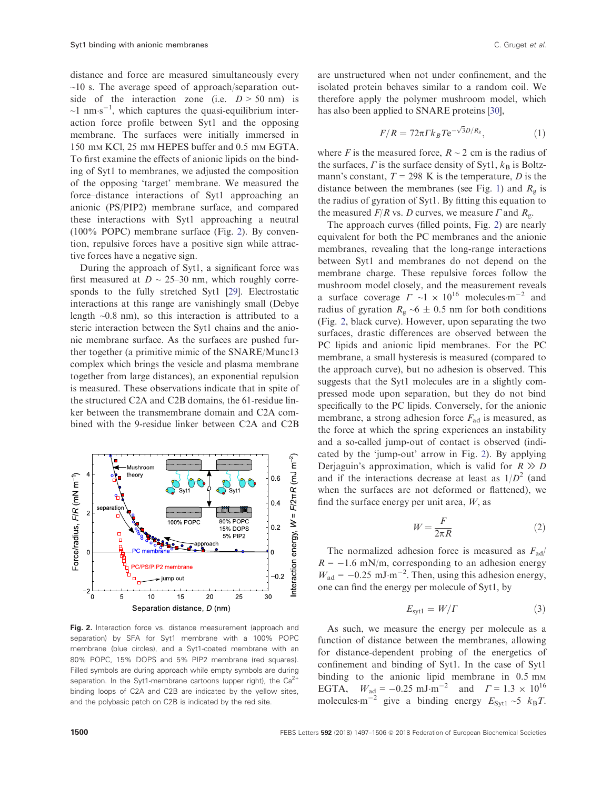<span id="page-3-0"></span>distance and force are measured simultaneously every  $\sim$ 10 s. The average speed of approach/separation outside of the interaction zone (i.e.  $D > 50$  nm) is  $\sim$ 1 nm·s<sup>-1</sup>, which captures the quasi-equilibrium interaction force profile between Syt1 and the opposing membrane. The surfaces were initially immersed in 150 mm KCl, 25 mm HEPES buffer and 0.5 mm EGTA. To first examine the effects of anionic lipids on the binding of Syt1 to membranes, we adjusted the composition of the opposing 'target' membrane. We measured the force–distance interactions of Syt1 approaching an anionic (PS/PIP2) membrane surface, and compared these interactions with Syt1 approaching a neutral (100% POPC) membrane surface (Fig. 2). By convention, repulsive forces have a positive sign while attractive forces have a negative sign.

During the approach of Syt1, a significant force was first measured at  $D \sim 25{\text -}30$  nm, which roughly corresponds to the fully stretched Syt1 [\[29\]](#page-9-0). Electrostatic interactions at this range are vanishingly small (Debye length ~0.8 nm), so this interaction is attributed to a steric interaction between the Syt1 chains and the anionic membrane surface. As the surfaces are pushed further together (a primitive mimic of the SNARE/Munc13 complex which brings the vesicle and plasma membrane together from large distances), an exponential repulsion is measured. These observations indicate that in spite of the structured C2A and C2B domains, the 61-residue linker between the transmembrane domain and C2A combined with the 9-residue linker between C2A and C2B



Fig. 2. Interaction force vs. distance measurement (approach and separation) by SFA for Syt1 membrane with a 100% POPC membrane (blue circles), and a Syt1-coated membrane with an 80% POPC, 15% DOPS and 5% PIP2 membrane (red squares). Filled symbols are during approach while empty symbols are during separation. In the Syt1-membrane cartoons (upper right), the  $Ca^{2+}$ binding loops of C2A and C2B are indicated by the yellow sites, and the polybasic patch on C2B is indicated by the red site.

are unstructured when not under confinement, and the isolated protein behaves similar to a random coil. We therefore apply the polymer mushroom model, which has also been applied to SNARE proteins [[30\]](#page-9-0),

$$
F/R = 72\pi \Gamma k_B T e^{-\sqrt{3}D/R_g}, \qquad (1)
$$

where F is the measured force,  $R \sim 2$  cm is the radius of the surfaces,  $\Gamma$  is the surface density of Syt1,  $k_B$  is Boltzmann's constant,  $T = 298$  K is the temperature, D is the distance between the membranes (see Fig. [1](#page-1-0)) and  $R<sub>g</sub>$  is the radius of gyration of Syt1. By fitting this equation to the measured  $F/R$  vs. D curves, we measure  $\Gamma$  and  $R_{\varrho}$ .

The approach curves (filled points, Fig. 2) are nearly equivalent for both the PC membranes and the anionic membranes, revealing that the long-range interactions between Syt1 and membranes do not depend on the membrane charge. These repulsive forces follow the mushroom model closely, and the measurement reveals a surface coverage  $\Gamma \sim 1 \times 10^{16}$  molecules m<sup>-2</sup> and radius of gyration  $R_g \sim 6 \pm 0.5$  nm for both conditions (Fig. 2, black curve). However, upon separating the two surfaces, drastic differences are observed between the PC lipids and anionic lipid membranes. For the PC membrane, a small hysteresis is measured (compared to the approach curve), but no adhesion is observed. This suggests that the Syt1 molecules are in a slightly compressed mode upon separation, but they do not bind specifically to the PC lipids. Conversely, for the anionic membrane, a strong adhesion force  $F_{\text{ad}}$  is measured, as the force at which the spring experiences an instability and a so-called jump-out of contact is observed (indicated by the 'jump-out' arrow in Fig. 2). By applying Derjaguin's approximation, which is valid for  $R \gg D$ and if the interactions decrease at least as  $1/D^2$  (and when the surfaces are not deformed or flattened), we find the surface energy per unit area,  $W$ , as

$$
W = \frac{F}{2\pi R} \tag{2}
$$

The normalized adhesion force is measured as  $F_{\text{ad}}/$  $R = -1.6$  mN/m, corresponding to an adhesion energy  $W_{\text{ad}} = -0.25 \text{ mJ} \cdot \text{m}^{-2}$ . Then, using this adhesion energy, one can find the energy per molecule of Syt1, by

$$
E_{\text{syt1}} = W/\Gamma \tag{3}
$$

As such, we measure the energy per molecule as a function of distance between the membranes, allowing for distance-dependent probing of the energetics of confinement and binding of Syt1. In the case of Syt1 binding to the anionic lipid membrane in 0.5 mm EGTA,  $W_{\text{ad}} = -0.25 \text{ mJ} \cdot \text{m}^{-2}$  and  $\Gamma = 1.3 \times 10^{16}$ molecules m<sup>-2</sup> give a binding energy  $E_{Syt1} \sim 5$   $k_B T$ .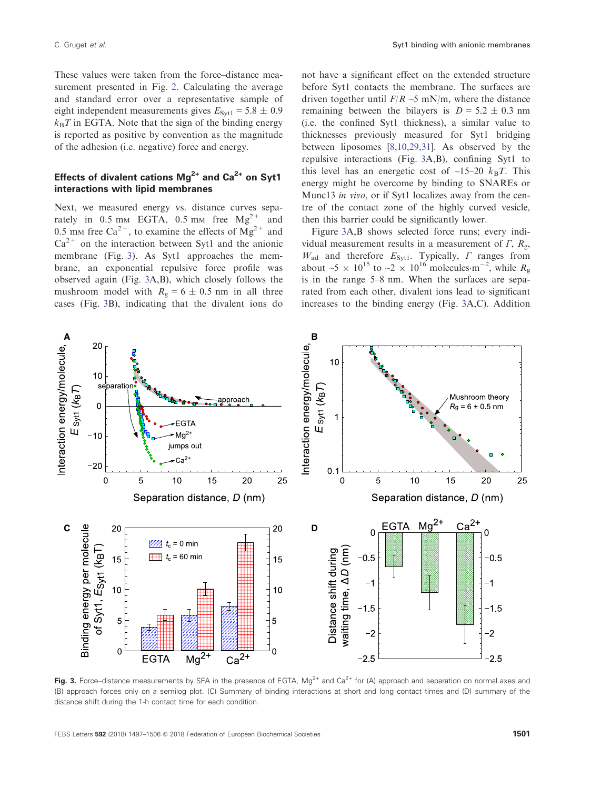<span id="page-4-0"></span>These values were taken from the force–distance measurement presented in Fig. [2.](#page-3-0) Calculating the average and standard error over a representative sample of eight independent measurements gives  $E_{Svt1} = 5.8 \pm 0.9$  $k_BT$  in EGTA. Note that the sign of the binding energy is reported as positive by convention as the magnitude of the adhesion (i.e. negative) force and energy.

## Effects of divalent cations  $Mg^{2+}$  and  $Ca^{2+}$  on Syt1 interactions with lipid membranes

Next, we measured energy vs. distance curves separately in 0.5 mm EGTA, 0.5 mm free  $Mg^{2+}$  and 0.5 mm free Ca<sup>2+</sup>, to examine the effects of  $Mg^{2+}$  and  $Ca^{2+}$  on the interaction between Syt1 and the anionic membrane (Fig. 3). As Syt1 approaches the membrane, an exponential repulsive force profile was observed again (Fig. 3A,B), which closely follows the mushroom model with  $R_g = 6 \pm 0.5$  nm in all three cases (Fig. 3B), indicating that the divalent ions do

not have a significant effect on the extended structure before Syt1 contacts the membrane. The surfaces are driven together until  $F/R \sim 5$  mN/m, where the distance remaining between the bilayers is  $D = 5.2 \pm 0.3$  nm (i.e. the confined Syt1 thickness), a similar value to thicknesses previously measured for Syt1 bridging between liposomes [\[8,10,29,31](#page-8-0)]. As observed by the repulsive interactions (Fig. 3A,B), confining Syt1 to this level has an energetic cost of  $\sim$ 15–20  $k_BT$ . This energy might be overcome by binding to SNAREs or Munc13 in vivo, or if Syt1 localizes away from the centre of the contact zone of the highly curved vesicle, then this barrier could be significantly lower.

Figure 3A,B shows selected force runs; every individual measurement results in a measurement of  $\Gamma$ ,  $R_{\alpha}$ ,  $W_{\text{ad}}$  and therefore  $E_{\text{Syt1}}$ . Typically,  $\Gamma$  ranges from about  $\sim 5 \times 10^{15}$  to  $\sim 2 \times 10^{16}$  molecules m<sup>-2</sup>, while  $R_g$ is in the range 5–8 nm. When the surfaces are separated from each other, divalent ions lead to significant increases to the binding energy (Fig. 3A,C). Addition



Fig. 3. Force–distance measurements by SFA in the presence of EGTA,  $Mg^{2+}$  and Ca<sup>2+</sup> for (A) approach and separation on normal axes and (B) approach forces only on a semilog plot. (C) Summary of binding interactions at short and long contact times and (D) summary of the distance shift during the 1-h contact time for each condition.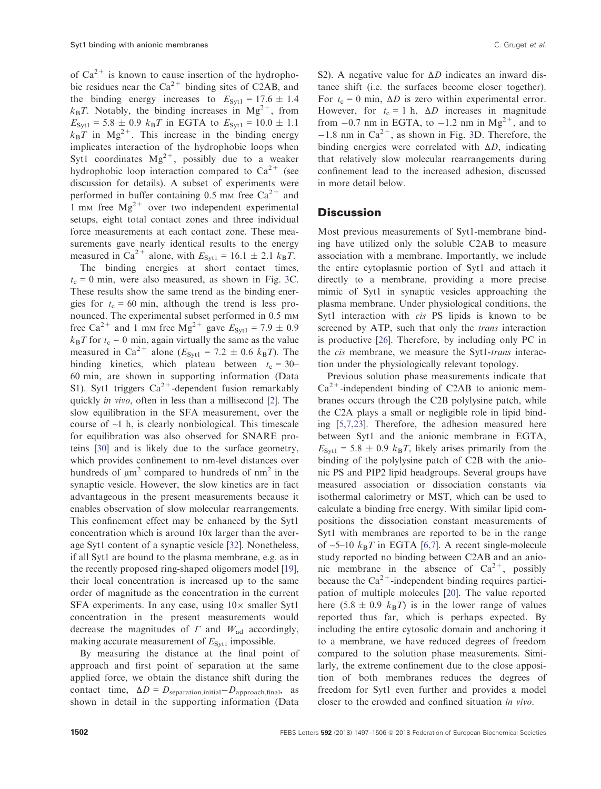of  $Ca^{2+}$  is known to cause insertion of the hydrophobic residues near the  $Ca^{2+}$  binding sites of C2AB, and the binding energy increases to  $E_{Svt1} = 17.6 \pm 1.4$  $k_{\rm B}T$ . Notably, the binding increases in Mg<sup>2+</sup>, from  $E_{\text{Svt1}} = 5.8 \pm 0.9$   $k_B T$  in EGTA to  $E_{\text{Svt1}} = 10.0 \pm 1.1$  $k_{\text{B}}T$  in Mg<sup>2+</sup>. This increase in the binding energy implicates interaction of the hydrophobic loops when Syt1 coordinates  $Mg^{2+}$ , possibly due to a weaker hydrophobic loop interaction compared to  $Ca^{2+}$  (see discussion for details). A subset of experiments were performed in buffer containing 0.5 mm free  $Ca^{2+}$  and 1 mm free  $Mg^{2+}$  over two independent experimental setups, eight total contact zones and three individual force measurements at each contact zone. These measurements gave nearly identical results to the energy measured in Ca<sup>2+</sup> alone, with  $E_{Syt1} = 16.1 \pm 2.1$   $k_BT$ .

The binding energies at short contact times,  $t_c = 0$  min, were also measured, as shown in Fig. [3C](#page-4-0). These results show the same trend as the binding energies for  $t_c = 60$  min, although the trend is less pronounced. The experimental subset performed in 0.5 mm free Ca<sup>2+</sup> and 1 mm free Mg<sup>2+</sup> gave  $E_{Svt1} = 7.9 \pm 0.9$  $k_{\text{B}}T$  for  $t_{\text{c}} = 0$  min, again virtually the same as the value measured in Ca<sup>2+</sup> alone ( $E_{Syt1}$  = 7.2  $\pm$  0.6  $k_BT$ ). The binding kinetics, which plateau between  $t_c = 30$ – 60 min, are shown in supporting information (Data S1). Syt1 triggers  $Ca^{2+}$ -dependent fusion remarkably quickly in vivo, often in less than a millisecond [[2](#page-8-0)]. The slow equilibration in the SFA measurement, over the course of  $\sim$ 1 h, is clearly nonbiological. This timescale for equilibration was also observed for SNARE proteins [\[30\]](#page-9-0) and is likely due to the surface geometry, which provides confinement to nm-level distances over hundreds of  $\mu$ m<sup>2</sup> compared to hundreds of nm<sup>2</sup> in the synaptic vesicle. However, the slow kinetics are in fact advantageous in the present measurements because it enables observation of slow molecular rearrangements. This confinement effect may be enhanced by the Syt1 concentration which is around 10x larger than the average Syt1 content of a synaptic vesicle [\[32\]](#page-9-0). Nonetheless, if all Syt1 are bound to the plasma membrane, e.g. as in the recently proposed ring-shaped oligomers model [[19](#page-8-0)], their local concentration is increased up to the same order of magnitude as the concentration in the current SFA experiments. In any case, using  $10\times$  smaller Syt1 concentration in the present measurements would decrease the magnitudes of  $\Gamma$  and  $W_{ad}$  accordingly, making accurate measurement of  $E_{\text{Syt1}}$  impossible.

By measuring the distance at the final point of approach and first point of separation at the same applied force, we obtain the distance shift during the contact time,  $\Delta D = D_{\text{separation,initial}} - D_{\text{approach,final}}$ , as shown in detail in the supporting information (Data

S2). A negative value for  $\Delta D$  indicates an inward distance shift (i.e. the surfaces become closer together). For  $t_c = 0$  min,  $\Delta D$  is zero within experimental error. However, for  $t_c = 1$  h,  $\Delta D$  increases in magnitude from  $-0.7$  nm in EGTA, to  $-1.2$  nm in Mg<sup>2+</sup>, and to  $-1.8$  nm in Ca<sup>2+</sup>, as shown in Fig. [3D](#page-4-0). Therefore, the binding energies were correlated with  $\Delta D$ , indicating that relatively slow molecular rearrangements during confinement lead to the increased adhesion, discussed in more detail below.

### **Discussion**

Most previous measurements of Syt1-membrane binding have utilized only the soluble C2AB to measure association with a membrane. Importantly, we include the entire cytoplasmic portion of Syt1 and attach it directly to a membrane, providing a more precise mimic of Syt1 in synaptic vesicles approaching the plasma membrane. Under physiological conditions, the Syt1 interaction with *cis* PS lipids is known to be screened by ATP, such that only the *trans* interaction is productive [\[26](#page-9-0)]. Therefore, by including only PC in the *cis* membrane, we measure the Syt1-*trans* interaction under the physiologically relevant topology.

Previous solution phase measurements indicate that  $Ca<sup>2+</sup>$ -independent binding of C2AB to anionic membranes occurs through the C2B polylysine patch, while the C2A plays a small or negligible role in lipid binding [[5,7,23](#page-8-0)]. Therefore, the adhesion measured here between Syt1 and the anionic membrane in EGTA,  $E_{\text{Svt1}}$  = 5.8  $\pm$  0.9  $k_BT$ , likely arises primarily from the binding of the polylysine patch of C2B with the anionic PS and PIP2 lipid headgroups. Several groups have measured association or dissociation constants via isothermal calorimetry or MST, which can be used to calculate a binding free energy. With similar lipid compositions the dissociation constant measurements of Syt1 with membranes are reported to be in the range of  $\sim$ 5–10  $k_BT$  in EGTA [[6,7\]](#page-8-0). A recent single-molecule study reported no binding between C2AB and an anionic membrane in the absence of  $Ca^{2+}$ , possibly because the  $Ca^{2+}$ -independent binding requires participation of multiple molecules [\[20\]](#page-8-0). The value reported here (5.8  $\pm$  0.9  $k_BT$ ) is in the lower range of values reported thus far, which is perhaps expected. By including the entire cytosolic domain and anchoring it to a membrane, we have reduced degrees of freedom compared to the solution phase measurements. Similarly, the extreme confinement due to the close apposition of both membranes reduces the degrees of freedom for Syt1 even further and provides a model closer to the crowded and confined situation in vivo.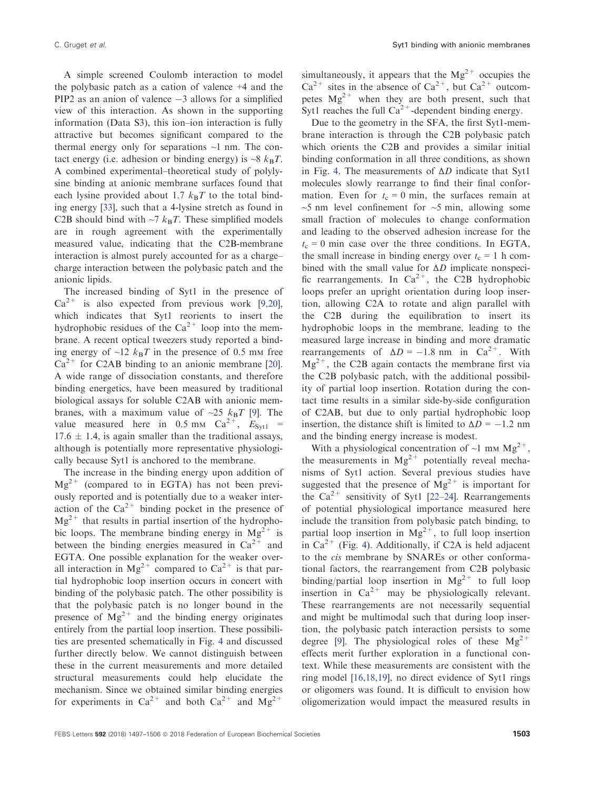A simple screened Coulomb interaction to model the polybasic patch as a cation of valence +4 and the PIP2 as an anion of valence  $-3$  allows for a simplified view of this interaction. As shown in the supporting information (Data S3), this ion–ion interaction is fully attractive but becomes significant compared to the thermal energy only for separations  $\sim$ 1 nm. The contact energy (i.e. adhesion or binding energy) is  $\sim 8$   $k_BT$ . A combined experimental–theoretical study of polylysine binding at anionic membrane surfaces found that each lysine provided about 1.7  $k_BT$  to the total binding energy [\[33\]](#page-9-0), such that a 4-lysine stretch as found in C2B should bind with  $\sim$ 7  $k_B T$ . These simplified models are in rough agreement with the experimentally measured value, indicating that the C2B-membrane interaction is almost purely accounted for as a charge– charge interaction between the polybasic patch and the anionic lipids.

The increased binding of Syt1 in the presence of  $Ca^{2+}$  is also expected from previous work [\[9,20](#page-8-0)], which indicates that Syt1 reorients to insert the hydrophobic residues of the  $Ca^{2+}$  loop into the membrane. A recent optical tweezers study reported a binding energy of  $\sim$ 12  $k_BT$  in the presence of 0.5 mm free  $Ca^{2+}$  for C2AB binding to an anionic membrane [[20](#page-8-0)]. A wide range of dissociation constants, and therefore binding energetics, have been measured by traditional biological assays for soluble C2AB with anionic membranes, with a maximum value of  $\sim$ 25  $k_BT$  [[9](#page-8-0)]. The value measured here in 0.5 mm  $Ca^{2+}$ ,  $E_{Syt1}$  =  $17.6 \pm 1.4$ , is again smaller than the traditional assays, although is potentially more representative physiologically because Syt1 is anchored to the membrane.

The increase in the binding energy upon addition of  $Mg^{2+}$  (compared to in EGTA) has not been previously reported and is potentially due to a weaker interaction of the  $Ca^{2+}$  binding pocket in the presence of  $Mg^{2+}$  that results in partial insertion of the hydrophobic loops. The membrane binding energy in  $Mg^{2+}$  is between the binding energies measured in  $Ca^{2+}$  and EGTA. One possible explanation for the weaker overall interaction in  $Mg^{2+}$  compared to  $Ca^{2+}$  is that partial hydrophobic loop insertion occurs in concert with binding of the polybasic patch. The other possibility is that the polybasic patch is no longer bound in the presence of  $Mg^{2+}$  and the binding energy originates entirely from the partial loop insertion. These possibilities are presented schematically in Fig. [4](#page-7-0) and discussed further directly below. We cannot distinguish between these in the current measurements and more detailed structural measurements could help elucidate the mechanism. Since we obtained similar binding energies for experiments in  $Ca^{2+}$  and both  $Ca^{2+}$  and  $Mg^{2+}$ 

simultaneously, it appears that the  $Mg^{2+}$  occupies the  $Ca^{2+}$  sites in the absence of  $Ca^{2+}$ , but  $Ca^{2+}$  outcompetes  $Mg^{2+}$  when they are both present, such that Syt1 reaches the full  $Ca^{2+}$ -dependent binding energy.

Due to the geometry in the SFA, the first Syt1-membrane interaction is through the C2B polybasic patch which orients the C2B and provides a similar initial binding conformation in all three conditions, as shown in Fig. [4](#page-7-0). The measurements of  $\Delta D$  indicate that Syt1 molecules slowly rearrange to find their final conformation. Even for  $t_c = 0$  min, the surfaces remain at  $\sim$ 5 nm level confinement for  $\sim$ 5 min, allowing some small fraction of molecules to change conformation and leading to the observed adhesion increase for the  $t_c = 0$  min case over the three conditions. In EGTA, the small increase in binding energy over  $t_c = 1$  h combined with the small value for  $\Delta D$  implicate nonspecific rearrangements. In  $Ca^{2+}$ , the C<sub>2</sub>B hydrophobic loops prefer an upright orientation during loop insertion, allowing C2A to rotate and align parallel with the C2B during the equilibration to insert its hydrophobic loops in the membrane, leading to the measured large increase in binding and more dramatic rearrangements of  $\Delta D = -1.8$  nm in Ca<sup>2+</sup>. With  $Mg^{2+}$ , the C2B again contacts the membrane first via the C2B polybasic patch, with the additional possibility of partial loop insertion. Rotation during the contact time results in a similar side-by-side configuration of C2AB, but due to only partial hydrophobic loop insertion, the distance shift is limited to  $\Delta D = -1.2$  nm and the binding energy increase is modest.

With a physiological concentration of  $\sim$ 1 mm Mg<sup>2+</sup>, the measurements in  $Mg^{2+}$  potentially reveal mechanisms of Syt1 action. Several previous studies have suggested that the presence of  $Mg^{2+}$  is important for the  $Ca^{2+}$  sensitivity of Syt1 [[22](#page-8-0)–[24\]](#page-8-0). Rearrangements of potential physiological importance measured here include the transition from polybasic patch binding, to partial loop insertion in  $Mg^{2+}$ , to full loop insertion in  $Ca^{2+}$  (Fig. [4\)](#page-7-0). Additionally, if C2A is held adjacent to the cis membrane by SNAREs or other conformational factors, the rearrangement from C2B polybasic binding/partial loop insertion in  $Mg^{2+}$  to full loop insertion in  $Ca^{2+}$  may be physiologically relevant. These rearrangements are not necessarily sequential and might be multimodal such that during loop insertion, the polybasic patch interaction persists to some degree [\[9](#page-8-0)]. The physiological roles of these  $Mg^{2+}$ effects merit further exploration in a functional context. While these measurements are consistent with the ring model [\[16,18,19\]](#page-8-0), no direct evidence of Syt1 rings or oligomers was found. It is difficult to envision how oligomerization would impact the measured results in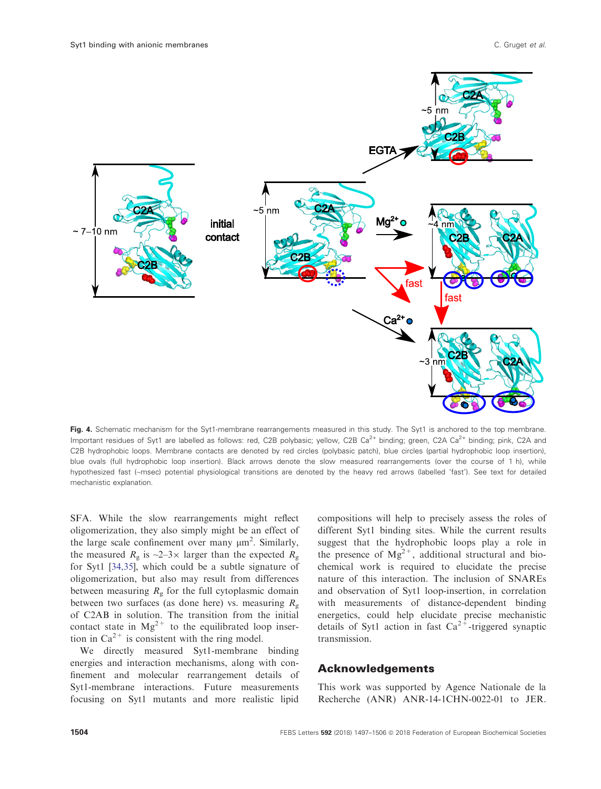<span id="page-7-0"></span>

Fig. 4. Schematic mechanism for the Syt1-membrane rearrangements measured in this study. The Syt1 is anchored to the top membrane. Important residues of Syt1 are labelled as follows: red, C2B polybasic; yellow, C2B Ca<sup>2+</sup> binding; green, C2A Ca<sup>2+</sup> binding; pink, C2A and C2B hydrophobic loops. Membrane contacts are denoted by red circles (polybasic patch), blue circles (partial hydrophobic loop insertion), blue ovals (full hydrophobic loop insertion). Black arrows denote the slow measured rearrangements (over the course of 1 h), while hypothesized fast (~msec) potential physiological transitions are denoted by the heavy red arrows (labelled 'fast'). See text for detailed mechanistic explanation.

SFA. While the slow rearrangements might reflect oligomerization, they also simply might be an effect of the large scale confinement over many  $\mu$ m<sup>2</sup>. Similarly, the measured  $R_g$  is  $\sim$ 2–3 $\times$  larger than the expected  $R_g$ for Syt1 [[34,35\]](#page-9-0), which could be a subtle signature of oligomerization, but also may result from differences between measuring  $R<sub>g</sub>$  for the full cytoplasmic domain between two surfaces (as done here) vs. measuring  $R_{\rm g}$ of C2AB in solution. The transition from the initial contact state in  $Mg^{2+}$  to the equilibrated loop insertion in  $Ca^{2+}$  is consistent with the ring model.

We directly measured Syt1-membrane binding energies and interaction mechanisms, along with confinement and molecular rearrangement details of Syt1-membrane interactions. Future measurements focusing on Syt1 mutants and more realistic lipid

compositions will help to precisely assess the roles of different Syt1 binding sites. While the current results suggest that the hydrophobic loops play a role in the presence of  $Mg^{2+}$ , additional structural and biochemical work is required to elucidate the precise nature of this interaction. The inclusion of SNAREs and observation of Syt1 loop-insertion, in correlation with measurements of distance-dependent binding energetics, could help elucidate precise mechanistic details of Syt1 action in fast  $Ca^{2+}$ -triggered synaptic transmission.

## Acknowledgements

This work was supported by Agence Nationale de la Recherche (ANR) ANR-14-1CHN-0022-01 to JER.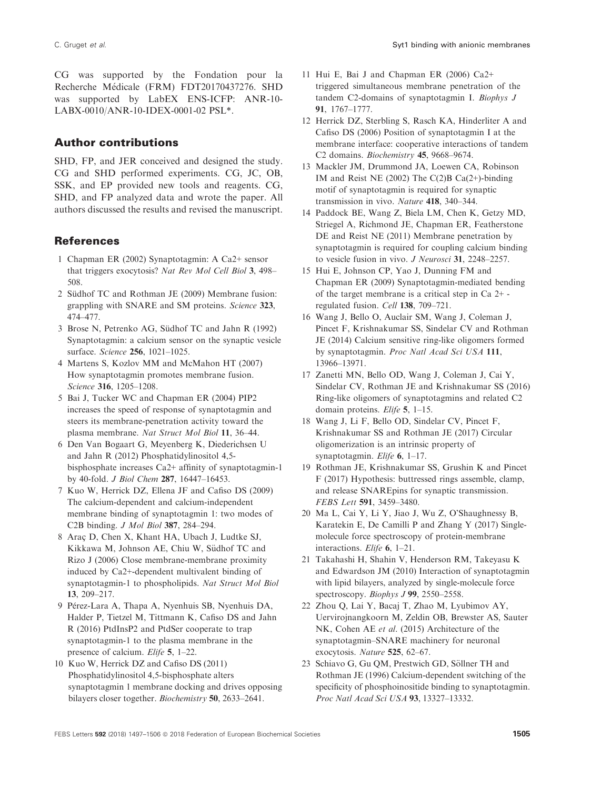# <span id="page-8-0"></span>Author contributions

SHD, FP, and JER conceived and designed the study. CG and SHD performed experiments. CG, JC, OB, SSK, and EP provided new tools and reagents. CG, SHD, and FP analyzed data and wrote the paper. All authors discussed the results and revised the manuscript.

## References

- 1 Chapman ER (2002) Synaptotagmin: A Ca2+ sensor that triggers exocytosis? Nat Rev Mol Cell Biol 3, 498– 508.
- 2 Südhof TC and Rothman JE (2009) Membrane fusion: grappling with SNARE and SM proteins. Science 323, 474–477.
- 3 Brose N, Petrenko AG, Südhof TC and Jahn R (1992) Synaptotagmin: a calcium sensor on the synaptic vesicle surface. Science 256, 1021–1025.
- 4 Martens S, Kozlov MM and McMahon HT (2007) How synaptotagmin promotes membrane fusion. Science 316, 1205–1208.
- 5 Bai J, Tucker WC and Chapman ER (2004) PIP2 increases the speed of response of synaptotagmin and steers its membrane-penetration activity toward the plasma membrane. Nat Struct Mol Biol 11, 36–44.
- 6 Den Van Bogaart G, Meyenberg K, Diederichsen U and Jahn R (2012) Phosphatidylinositol 4,5 bisphosphate increases Ca2+ affinity of synaptotagmin-1 by 40-fold. J Biol Chem 287, 16447–16453.
- 7 Kuo W, Herrick DZ, Ellena JF and Cafiso DS (2009) The calcium-dependent and calcium-independent membrane binding of synaptotagmin 1: two modes of C2B binding. J Mol Biol 387, 284–294.
- 8 Arac D, Chen X, Khant HA, Ubach J, Ludtke SJ, Kikkawa M, Johnson AE, Chiu W, Südhof TC and Rizo J (2006) Close membrane-membrane proximity induced by Ca2+-dependent multivalent binding of synaptotagmin-1 to phospholipids. Nat Struct Mol Biol 13, 209–217.
- 9 Pérez-Lara A, Thapa A, Nyenhuis SB, Nyenhuis DA, Halder P, Tietzel M, Tittmann K, Cafiso DS and Jahn R (2016) PtdInsP2 and PtdSer cooperate to trap synaptotagmin-1 to the plasma membrane in the presence of calcium. Elife 5, 1–22.
- 10 Kuo W, Herrick DZ and Cafiso DS (2011) Phosphatidylinositol 4,5-bisphosphate alters synaptotagmin 1 membrane docking and drives opposing bilayers closer together. Biochemistry 50, 2633–2641.
- 11 Hui E, Bai J and Chapman ER (2006) Ca2+ triggered simultaneous membrane penetration of the tandem C2-domains of synaptotagmin I. Biophys J 91, 1767–1777.
- 12 Herrick DZ, Sterbling S, Rasch KA, Hinderliter A and Cafiso DS (2006) Position of synaptotagmin I at the membrane interface: cooperative interactions of tandem C2 domains. Biochemistry 45, 9668–9674.
- 13 Mackler JM, Drummond JA, Loewen CA, Robinson IM and Reist NE (2002) The  $C(2)B Ca(2+)$ -binding motif of synaptotagmin is required for synaptic transmission in vivo. Nature 418, 340–344.
- 14 Paddock BE, Wang Z, Biela LM, Chen K, Getzy MD, Striegel A, Richmond JE, Chapman ER, Featherstone DE and Reist NE (2011) Membrane penetration by synaptotagmin is required for coupling calcium binding to vesicle fusion in vivo. J Neurosci 31, 2248–2257.
- 15 Hui E, Johnson CP, Yao J, Dunning FM and Chapman ER (2009) Synaptotagmin-mediated bending of the target membrane is a critical step in Ca 2+ regulated fusion. Cell 138, 709–721.
- 16 Wang J, Bello O, Auclair SM, Wang J, Coleman J, Pincet F, Krishnakumar SS, Sindelar CV and Rothman JE (2014) Calcium sensitive ring-like oligomers formed by synaptotagmin. Proc Natl Acad Sci USA 111, 13966–13971.
- 17 Zanetti MN, Bello OD, Wang J, Coleman J, Cai Y, Sindelar CV, Rothman JE and Krishnakumar SS (2016) Ring-like oligomers of synaptotagmins and related C2 domain proteins. Elife 5, 1–15.
- 18 Wang J, Li F, Bello OD, Sindelar CV, Pincet F, Krishnakumar SS and Rothman JE (2017) Circular oligomerization is an intrinsic property of synaptotagmin. Elife 6, 1-17.
- 19 Rothman JE, Krishnakumar SS, Grushin K and Pincet F (2017) Hypothesis: buttressed rings assemble, clamp, and release SNAREpins for synaptic transmission. FEBS Lett 591, 3459–3480.
- 20 Ma L, Cai Y, Li Y, Jiao J, Wu Z, O'Shaughnessy B, Karatekin E, De Camilli P and Zhang Y (2017) Singlemolecule force spectroscopy of protein-membrane interactions. Elife 6, 1–21.
- 21 Takahashi H, Shahin V, Henderson RM, Takeyasu K and Edwardson JM (2010) Interaction of synaptotagmin with lipid bilayers, analyzed by single-molecule force spectroscopy. *Biophys J* 99, 2550–2558.
- 22 Zhou Q, Lai Y, Bacaj T, Zhao M, Lyubimov AY, Uervirojnangkoorn M, Zeldin OB, Brewster AS, Sauter NK, Cohen AE et al. (2015) Architecture of the synaptotagmin–SNARE machinery for neuronal exocytosis. Nature 525, 62–67.
- 23 Schiavo G, Gu OM, Prestwich GD, Söllner TH and Rothman JE (1996) Calcium-dependent switching of the specificity of phosphoinositide binding to synaptotagmin. Proc Natl Acad Sci USA 93, 13327–13332.